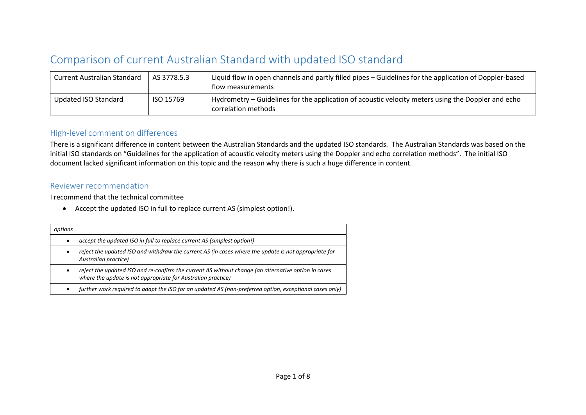## Comparison of current Australian Standard with updated ISO standard

| <b>Current Australian Standard</b> | AS 3778.5.3 | Liquid flow in open channels and partly filled pipes – Guidelines for the application of Doppler-based<br>flow measurements |  |
|------------------------------------|-------------|-----------------------------------------------------------------------------------------------------------------------------|--|
| Updated ISO Standard               | ISO 15769   | Hydrometry – Guidelines for the application of acoustic velocity meters using the Doppler and echo<br>correlation methods   |  |

## High-level comment on differences

There is a significant difference in content between the Australian Standards and the updated ISO standards. The Australian Standards was based on the initial ISO standards on "Guidelines for the application of acoustic velocity meters using the Doppler and echo correlation methods". The initial ISO document lacked significant information on this topic and the reason why there is such a huge difference in content.

## Reviewer recommendation

I recommend that the technical committee

• Accept the updated ISO in full to replace current AS (simplest option!).

| options   |                                                                                                                                                                     |
|-----------|---------------------------------------------------------------------------------------------------------------------------------------------------------------------|
| $\bullet$ | accept the updated ISO in full to replace current AS (simplest option!)                                                                                             |
| ٠         | reject the updated ISO and withdraw the current AS (in cases where the update is not appropriate for<br>Australian practice)                                        |
| ٠         | reject the updated ISO and re-confirm the current AS without change (an alternative option in cases<br>where the update is not appropriate for Australian practice) |
| ٠         | further work required to adapt the ISO for an updated AS (non-preferred option, exceptional cases only)                                                             |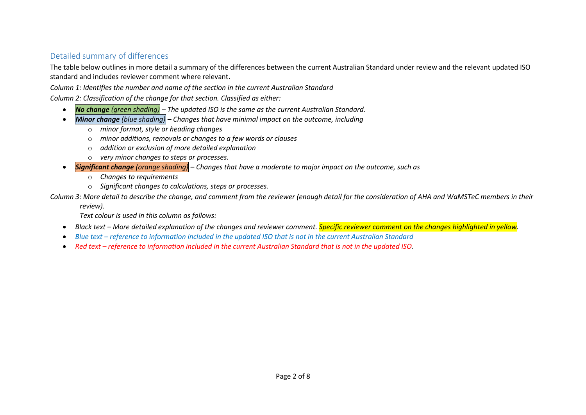## Detailed summary of differences

The table below outlines in more detail a summary of the differences between the current Australian Standard under review and the relevant updated ISO standard and includes reviewer comment where relevant.

*Column 1: Identifies the number and name of the section in the current Australian Standard*

*Column 2: Classification of the change for that section. Classified as either:*

- *No change (green shading) – The updated ISO is the same as the current Australian Standard.*
- *Minor change (blue shading) – Changes that have minimal impact on the outcome, including*
	- o *minor format, style or heading changes*
	- o *minor additions, removals or changes to a few words or clauses*
	- o *addition or exclusion of more detailed explanation*
	- o *very minor changes to steps or processes.*
- *Significant change (orange shading) – Changes that have a moderate to major impact on the outcome, such as*
	- o *Changes to requirements*
	- o *Significant changes to calculations, steps or processes.*

*Column 3: More detail to describe the change, and comment from the reviewer (enough detail for the consideration of AHA and WaMSTeC members in their* 

*review).*

*Text colour is used in this column as follows:*

- *Black text – More detailed explanation of the changes and reviewer comment. Specific reviewer comment on the changes highlighted in yellow.*
- *Blue text – reference to information included in the updated ISO that is not in the current Australian Standard*
- Red text *reference to information included in the current Australian Standard that is not in the updated ISO.*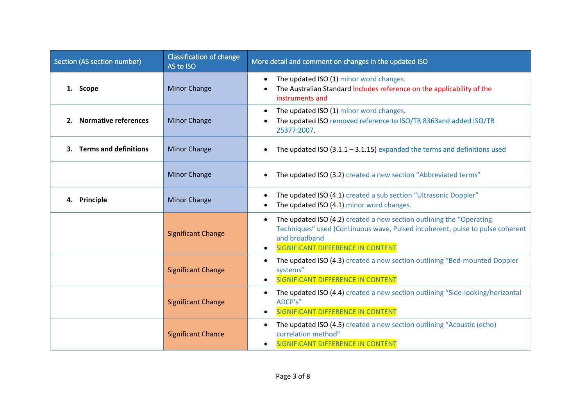| Section (AS section number) | <b>Classification of change</b><br>AS to ISO | More detail and comment on changes in the updated ISO                                                                                                                                                                                        |
|-----------------------------|----------------------------------------------|----------------------------------------------------------------------------------------------------------------------------------------------------------------------------------------------------------------------------------------------|
| 1. Scope                    | <b>Minor Change</b>                          | The updated ISO (1) minor word changes.<br>$\bullet$<br>The Australian Standard includes reference on the applicability of the<br>instruments and                                                                                            |
| 2. Normative references     | <b>Minor Change</b>                          | The updated ISO (1) minor word changes.<br>$\bullet$<br>The updated ISO removed reference to ISO/TR 8363and added ISO/TR<br>25377:2007.                                                                                                      |
| 3. Terms and definitions    | <b>Minor Change</b>                          | The updated ISO $(3.1.1 - 3.1.15)$ expanded the terms and definitions used                                                                                                                                                                   |
|                             | <b>Minor Change</b>                          | The updated ISO (3.2) created a new section "Abbreviated terms"                                                                                                                                                                              |
| 4. Principle                | <b>Minor Change</b>                          | The updated ISO (4.1) created a sub section "Ultrasonic Doppler"<br>$\bullet$<br>The updated ISO (4.1) minor word changes.                                                                                                                   |
|                             | <b>Significant Change</b>                    | The updated ISO (4.2) created a new section outlining the "Operating<br>$\bullet$<br>Techniques" used (Continuous wave, Pulsed incoherent, pulse to pulse coherent<br>and broadband<br><b>SIGNIFICANT DIFFERENCE IN CONTENT</b><br>$\bullet$ |
|                             | <b>Significant Change</b>                    | The updated ISO (4.3) created a new section outlining "Bed-mounted Doppler<br>$\bullet$<br>systems"<br>SIGNIFICANT DIFFERENCE IN CONTENT<br>$\bullet$                                                                                        |
|                             | <b>Significant Change</b>                    | The updated ISO (4.4) created a new section outlining "Side-looking/horizontal<br>$\bullet$<br>ADCP's"<br>SIGNIFICANT DIFFERENCE IN CONTENT<br>$\bullet$                                                                                     |
|                             | <b>Significant Chance</b>                    | The updated ISO (4.5) created a new section outlining "Acoustic (echo)<br>$\bullet$<br>correlation method"<br><b>SIGNIFICANT DIFFERENCE IN CONTENT</b>                                                                                       |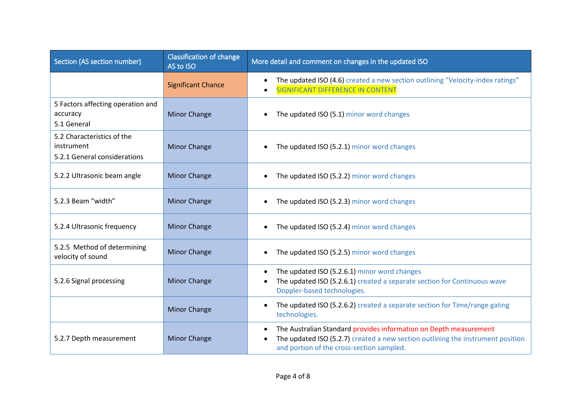| Section (AS section number)                                              | Classification of change<br>AS to ISO | More detail and comment on changes in the updated ISO                                                                                                                                                          |
|--------------------------------------------------------------------------|---------------------------------------|----------------------------------------------------------------------------------------------------------------------------------------------------------------------------------------------------------------|
|                                                                          | <b>Significant Chance</b>             | The updated ISO (4.6) created a new section outlining "Velocity-index ratings"<br>SIGNIFICANT DIFFERENCE IN CONTENT                                                                                            |
| 5 Factors affecting operation and<br>accuracy<br>5.1 General             | <b>Minor Change</b>                   | The updated ISO (5.1) minor word changes                                                                                                                                                                       |
| 5.2 Characteristics of the<br>instrument<br>5.2.1 General considerations | <b>Minor Change</b>                   | The updated ISO (5.2.1) minor word changes                                                                                                                                                                     |
| 5.2.2 Ultrasonic beam angle                                              | <b>Minor Change</b>                   | The updated ISO (5.2.2) minor word changes                                                                                                                                                                     |
| 5.2.3 Beam "width"                                                       | <b>Minor Change</b>                   | The updated ISO (5.2.3) minor word changes                                                                                                                                                                     |
| 5.2.4 Ultrasonic frequency                                               | <b>Minor Change</b>                   | The updated ISO (5.2.4) minor word changes                                                                                                                                                                     |
| 5.2.5 Method of determining<br>velocity of sound                         | <b>Minor Change</b>                   | The updated ISO (5.2.5) minor word changes                                                                                                                                                                     |
| 5.2.6 Signal processing                                                  | <b>Minor Change</b>                   | The updated ISO (5.2.6.1) minor word changes<br>$\bullet$<br>The updated ISO (5.2.6.1) created a separate section for Continuous wave<br>Doppler-based technologies.                                           |
|                                                                          | <b>Minor Change</b>                   | The updated ISO (5.2.6.2) created a separate section for Time/range gating<br>$\bullet$<br>technologies.                                                                                                       |
| 5.2.7 Depth measurement                                                  | <b>Minor Change</b>                   | The Australian Standard provides information on Depth measurement<br>$\bullet$<br>The updated ISO (5.2.7) created a new section outlining the instrument position<br>and portion of the cross-section sampled. |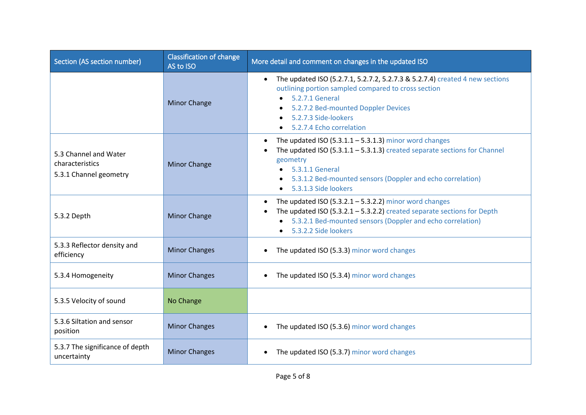| Section (AS section number)                                        | <b>Classification of change</b><br>AS to ISO | More detail and comment on changes in the updated ISO                                                                                                                                                                                                                                  |
|--------------------------------------------------------------------|----------------------------------------------|----------------------------------------------------------------------------------------------------------------------------------------------------------------------------------------------------------------------------------------------------------------------------------------|
|                                                                    | <b>Minor Change</b>                          | The updated ISO (5.2.7.1, 5.2.7.2, 5.2.7.3 & 5.2.7.4) created 4 new sections<br>outlining portion sampled compared to cross section<br>5.2.7.1 General<br>5.2.7.2 Bed-mounted Doppler Devices<br>$\bullet$<br>5.2.7.3 Side-lookers<br>5.2.7.4 Echo correlation                         |
| 5.3 Channel and Water<br>characteristics<br>5.3.1 Channel geometry | <b>Minor Change</b>                          | The updated ISO $(5.3.1.1 - 5.3.1.3)$ minor word changes<br>$\bullet$<br>The updated ISO $(5.3.1.1 - 5.3.1.3)$ created separate sections for Channel<br>geometry<br>5.3.1.1 General<br>5.3.1.2 Bed-mounted sensors (Doppler and echo correlation)<br>$\bullet$<br>5.3.1.3 Side lookers |
| 5.3.2 Depth                                                        | <b>Minor Change</b>                          | The updated ISO $(5.3.2.1 - 5.3.2.2)$ minor word changes<br>٠<br>The updated ISO $(5.3.2.1 - 5.3.2.2)$ created separate sections for Depth<br>$\bullet$<br>• 5.3.2.1 Bed-mounted sensors (Doppler and echo correlation)<br>5.3.2.2 Side lookers                                        |
| 5.3.3 Reflector density and<br>efficiency                          | <b>Minor Changes</b>                         | The updated ISO (5.3.3) minor word changes<br>$\bullet$                                                                                                                                                                                                                                |
| 5.3.4 Homogeneity                                                  | <b>Minor Changes</b>                         | The updated ISO (5.3.4) minor word changes<br>$\bullet$                                                                                                                                                                                                                                |
| 5.3.5 Velocity of sound                                            | No Change                                    |                                                                                                                                                                                                                                                                                        |
| 5.3.6 Siltation and sensor<br>position                             | <b>Minor Changes</b>                         | The updated ISO (5.3.6) minor word changes                                                                                                                                                                                                                                             |
| 5.3.7 The significance of depth<br>uncertainty                     | <b>Minor Changes</b>                         | The updated ISO (5.3.7) minor word changes                                                                                                                                                                                                                                             |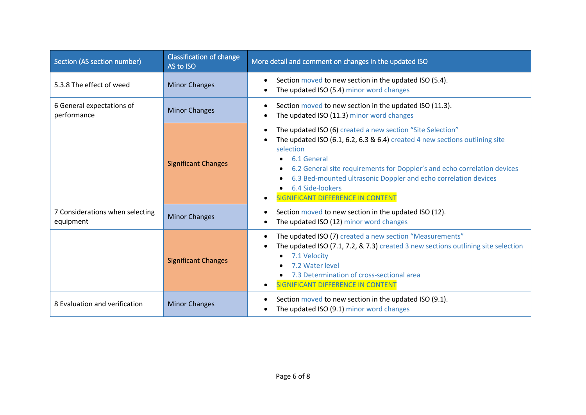| Section (AS section number)                  | <b>Classification of change</b><br>AS to ISO | More detail and comment on changes in the updated ISO                                                                                                                                                                                                                                                                                                                                                          |
|----------------------------------------------|----------------------------------------------|----------------------------------------------------------------------------------------------------------------------------------------------------------------------------------------------------------------------------------------------------------------------------------------------------------------------------------------------------------------------------------------------------------------|
| 5.3.8 The effect of weed                     | <b>Minor Changes</b>                         | Section moved to new section in the updated ISO (5.4).<br>$\bullet$<br>The updated ISO (5.4) minor word changes                                                                                                                                                                                                                                                                                                |
| 6 General expectations of<br>performance     | <b>Minor Changes</b>                         | Section moved to new section in the updated ISO (11.3).<br>٠<br>The updated ISO (11.3) minor word changes<br>$\bullet$                                                                                                                                                                                                                                                                                         |
|                                              | <b>Significant Changes</b>                   | The updated ISO (6) created a new section "Site Selection"<br>$\bullet$<br>The updated ISO (6.1, 6.2, 6.3 & 6.4) created 4 new sections outlining site<br>selection<br>6.1 General<br>6.2 General site requirements for Doppler's and echo correlation devices<br>6.3 Bed-mounted ultrasonic Doppler and echo correlation devices<br>6.4 Side-lookers<br><b>SIGNIFICANT DIFFERENCE IN CONTENT</b><br>$\bullet$ |
| 7 Considerations when selecting<br>equipment | <b>Minor Changes</b>                         | Section moved to new section in the updated ISO (12).<br>$\bullet$<br>The updated ISO (12) minor word changes<br>$\bullet$                                                                                                                                                                                                                                                                                     |
|                                              | <b>Significant Changes</b>                   | The updated ISO (7) created a new section "Measurements"<br>$\bullet$<br>The updated ISO (7.1, 7.2, & 7.3) created 3 new sections outlining site selection<br>7.1 Velocity<br>7.2 Water level<br>7.3 Determination of cross-sectional area<br>SIGNIFICANT DIFFERENCE IN CONTENT<br>$\bullet$                                                                                                                   |
| 8 Evaluation and verification                | <b>Minor Changes</b>                         | Section moved to new section in the updated ISO (9.1).<br>$\bullet$<br>The updated ISO (9.1) minor word changes<br>٠                                                                                                                                                                                                                                                                                           |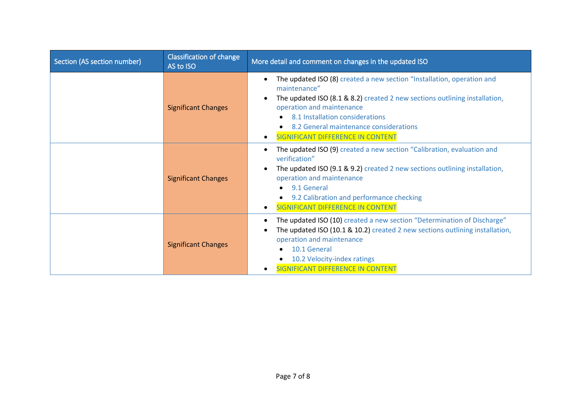| Section (AS section number) | <b>Classification of change</b><br>AS to ISO | More detail and comment on changes in the updated ISO                                                                                                                                                                                                                                                                                                      |
|-----------------------------|----------------------------------------------|------------------------------------------------------------------------------------------------------------------------------------------------------------------------------------------------------------------------------------------------------------------------------------------------------------------------------------------------------------|
|                             | <b>Significant Changes</b>                   | The updated ISO (8) created a new section "Installation, operation and<br>$\bullet$<br>maintenance"<br>The updated ISO (8.1 & 8.2) created 2 new sections outlining installation,<br>$\bullet$<br>operation and maintenance<br>8.1 Installation considerations<br>8.2 General maintenance considerations<br>SIGNIFICANT DIFFERENCE IN CONTENT<br>$\bullet$ |
|                             | <b>Significant Changes</b>                   | The updated ISO (9) created a new section "Calibration, evaluation and<br>٠<br>verification"<br>The updated ISO (9.1 & 9.2) created 2 new sections outlining installation,<br>$\bullet$<br>operation and maintenance<br>9.1 General<br>9.2 Calibration and performance checking<br><b>SIGNIFICANT DIFFERENCE IN CONTENT</b>                                |
|                             | <b>Significant Changes</b>                   | The updated ISO (10) created a new section "Determination of Discharge"<br>$\bullet$<br>The updated ISO (10.1 & 10.2) created 2 new sections outlining installation,<br>$\bullet$<br>operation and maintenance<br>10.1 General<br>10.2 Velocity-index ratings<br>SIGNIFICANT DIFFERENCE IN CONTENT                                                         |